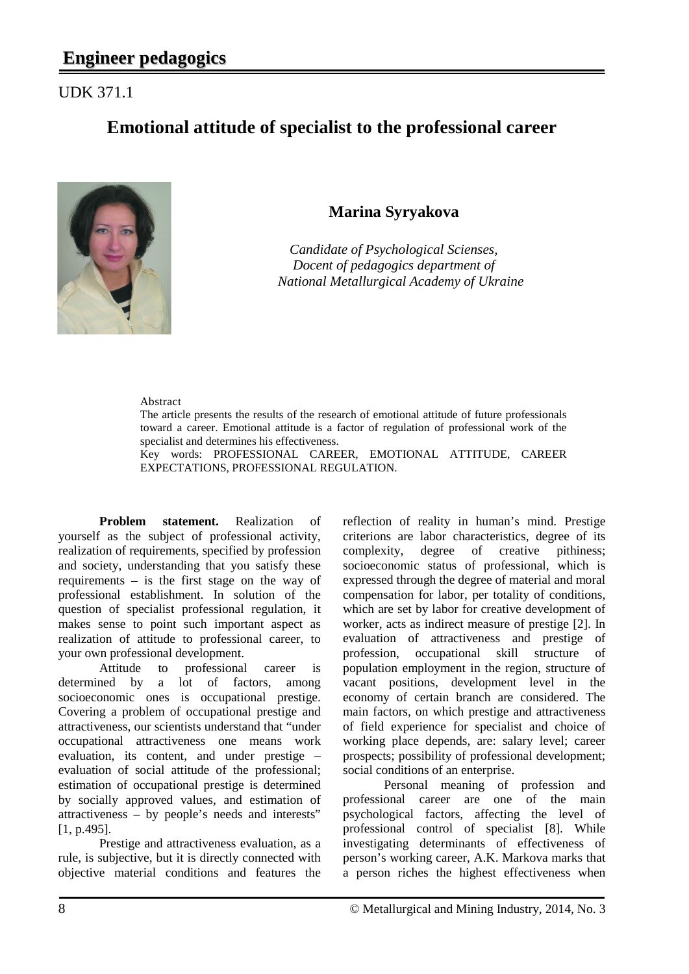## UDK 371.1

# **Emotional attitude of specialist to the professional career**



## **Marina Syryakova**

*Candidate of Psychological Scienses, Docent of pedagogics department of National Metallurgical Academy of Ukraine*

#### Abstract

The article presents the results of the research of emotional attitude of future professionals toward a career. Emotional attitude is a factor of regulation of professional work of the specialist and determines his effectiveness.

Key words: PROFESSIONAL CAREER, EMOTIONAL ATTITUDE, CAREER EXPECTATIONS, PROFESSIONAL REGULATION.

**Problem statement.** Realization of yourself as the subject of professional activity, realization of requirements, specified by profession and society, understanding that you satisfy these requirements – is the first stage on the way of professional establishment. In solution of the question of specialist professional regulation, it makes sense to point such important aspect as realization of attitude to professional career, to your own professional development.

Attitude to professional career is determined by a lot of factors, among socioeconomic ones is occupational prestige. Covering a problem of occupational prestige and attractiveness, our scientists understand that "under occupational attractiveness one means work evaluation, its content, and under prestige – evaluation of social attitude of the professional; estimation of occupational prestige is determined by socially approved values, and estimation of attractiveness – by people's needs and interests" [1, p.495].

Prestige and attractiveness evaluation, as a rule, is subjective, but it is directly connected with objective material conditions and features the reflection of reality in human's mind. Prestige criterions are labor characteristics, degree of its complexity, degree of creative pithiness; socioeconomic status of professional, which is expressed through the degree of material and moral compensation for labor, per totality of conditions, which are set by labor for creative development of worker, acts as indirect measure of prestige [2]. In evaluation of attractiveness and prestige of profession, occupational skill structure of population employment in the region, structure of vacant positions, development level in the economy of certain branch are considered. The main factors, on which prestige and attractiveness of field experience for specialist and choice of working place depends, are: salary level; career prospects; possibility of professional development; social conditions of an enterprise.

Personal meaning of profession and professional career are one of the main psychological factors, affecting the level of professional control of specialist [8]. While investigating determinants of effectiveness of person's working career, A.K. Markova marks that a person riches the highest effectiveness when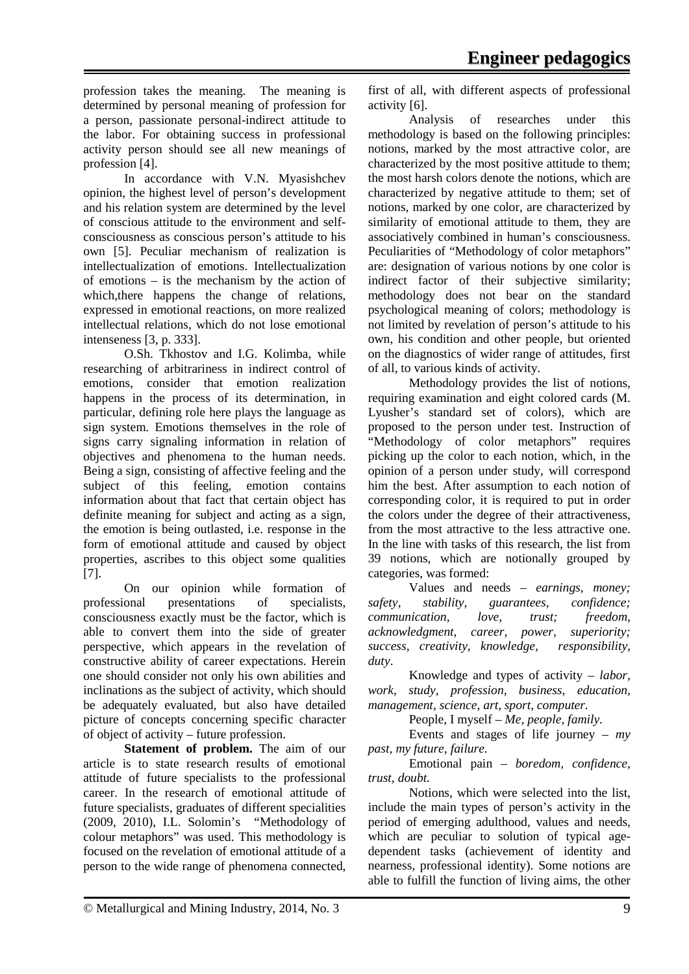profession takes the meaning. The meaning is determined by personal meaning of profession for a person, passionate personal-indirect attitude to the labor. For obtaining success in professional activity person should see all new meanings of profession [4].

In accordance with V.N. Myasishchev opinion, the highest level of person's development and his relation system are determined by the level of conscious attitude to the environment and selfconsciousness as conscious person's attitude to his own [5]. Peculiar mechanism of realization is intellectualization of emotions. Intellectualization of emotions – is the mechanism by the action of which,there happens the change of relations, expressed in emotional reactions, on more realized intellectual relations, which do not lose emotional intenseness [3, p. 333].

O.Sh. Tkhostov and I.G. Kolimba, while researching of arbitrariness in indirect control of emotions, consider that emotion realization happens in the process of its determination, in particular, defining role here plays the language as sign system. Emotions themselves in the role of signs carry signaling information in relation of objectives and phenomena to the human needs. Being a sign, consisting of affective feeling and the subject of this feeling, emotion contains information about that fact that certain object has definite meaning for subject and acting as a sign, the emotion is being outlasted, i.e. response in the form of emotional attitude and caused by object properties, ascribes to this object some qualities [7].

On our opinion while formation of professional presentations of specialists, consciousness exactly must be the factor, which is able to convert them into the side of greater perspective, which appears in the revelation of constructive ability of career expectations. Herein one should consider not only his own abilities and inclinations as the subject of activity, which should be adequately evaluated, but also have detailed picture of concepts concerning specific character of object of activity – future profession.

**Statement of problem.** The aim of our article is to state research results of emotional attitude of future specialists to the professional career. In the research of emotional attitude of future specialists, graduates of different specialities (2009, 2010), I.L. Solomin's "Methodology of colour metaphors" was used. This methodology is focused on the revelation of emotional attitude of a person to the wide range of phenomena connected, first of all, with different aspects of professional activity [6].

Analysis of researches under this methodology is based on the following principles: notions, marked by the most attractive color, are characterized by the most positive attitude to them; the most harsh colors denote the notions, which are characterized by negative attitude to them; set of notions, marked by one color, are characterized by similarity of emotional attitude to them, they are associatively combined in human's consciousness. Peculiarities of "Methodology of color metaphors" are: designation of various notions by one color is indirect factor of their subjective similarity; methodology does not bear on the standard psychological meaning of colors; methodology is not limited by revelation of person's attitude to his own, his condition and other people, but oriented on the diagnostics of wider range of attitudes, first of all, to various kinds of activity.

Methodology provides the list of notions, requiring examination and eight colored cards (M. Lyusher's standard set of colors), which are proposed to the person under test. Instruction of "Methodology of color metaphors" requires picking up the color to each notion, which, in the opinion of a person under study, will correspond him the best. After assumption to each notion of corresponding color, it is required to put in order the colors under the degree of their attractiveness, from the most attractive to the less attractive one. In the line with tasks of this research, the list from 39 notions, which are notionally grouped by categories, was formed:

Values and needs – *earnings, money; safety, stability, guarantees, confidence; communication, love, trust; freedom, acknowledgment, career, power, superiority; success, creativity, knowledge, responsibility, duty*.

Knowledge and types of activity – *labor, work, study, profession, business, education, management, science, art, sport, computer.*

People, I myself – *Me, people, family.*

Events and stages of life journey – *my past, my future, failure.*

Emotional pain – *boredom, confidence, trust, doubt.*

Notions, which were selected into the list, include the main types of person's activity in the period of emerging adulthood, values and needs, which are peculiar to solution of typical agedependent tasks (achievement of identity and nearness, professional identity). Some notions are able to fulfill the function of living aims, the other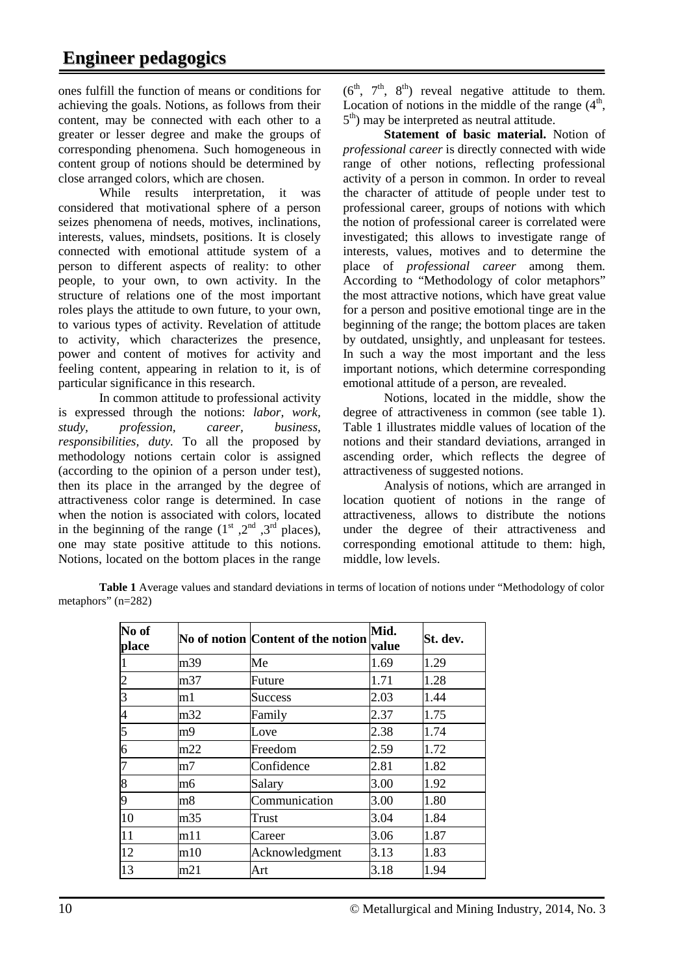ones fulfill the function of means or conditions for achieving the goals. Notions, as follows from their content, may be connected with each other to a greater or lesser degree and make the groups of corresponding phenomena. Such homogeneous in content group of notions should be determined by close arranged colors, which are chosen.

While results interpretation, it was considered that motivational sphere of a person seizes phenomena of needs, motives, inclinations, interests, values, mindsets, positions. It is closely connected with emotional attitude system of a person to different aspects of reality: to other people, to your own, to own activity. In the structure of relations one of the most important roles plays the attitude to own future, to your own, to various types of activity. Revelation of attitude to activity, which characterizes the presence, power and content of motives for activity and feeling content, appearing in relation to it, is of particular significance in this research.

In common attitude to professional activity is expressed through the notions: *labor, work, study, profession, career, business, responsibilities, duty.* To all the proposed by methodology notions certain color is assigned (according to the opinion of a person under test), then its place in the arranged by the degree of attractiveness color range is determined. In case when the notion is associated with colors, located in the beginning of the range  $(1<sup>st</sup>, 2<sup>nd</sup>, 3<sup>rd</sup>$  places). one may state positive attitude to this notions. Notions, located on the bottom places in the range

 $(6<sup>th</sup>, 7<sup>th</sup>, 8<sup>th</sup>)$  reveal negative attitude to them. Location of notions in the middle of the range  $(4<sup>th</sup>,$  $5<sup>th</sup>$ ) may be interpreted as neutral attitude.

**Statement of basic material.** Notion of *professional career* is directly connected with wide range of other notions, reflecting professional activity of a person in common. In order to reveal the character of attitude of people under test to professional career, groups of notions with which the notion of professional career is correlated were investigated; this allows to investigate range of interests, values, motives and to determine the place of *professional career* among them. According to "Methodology of color metaphors" the most attractive notions, which have great value for a person and positive emotional tinge are in the beginning of the range; the bottom places are taken by outdated, unsightly, and unpleasant for testees. In such a way the most important and the less important notions, which determine corresponding emotional attitude of a person, are revealed.

Notions, located in the middle, show the degree of attractiveness in common (see table 1). Table 1 illustrates middle values of location of the notions and their standard deviations, arranged in ascending order, which reflects the degree of attractiveness of suggested notions.

Analysis of notions, which are arranged in location quotient of notions in the range of attractiveness, allows to distribute the notions under the degree of their attractiveness and corresponding emotional attitude to them: high, middle, low levels.

**Table 1** Average values and standard deviations in terms of location of notions under "Methodology of color metaphors" (n=282)

| No of<br>place |                | No of notion Content of the notion | Mid.<br>value | St. dev. |  |
|----------------|----------------|------------------------------------|---------------|----------|--|
|                | m39            | Me                                 | 1.69          | 1.29     |  |
| $\overline{c}$ | m37            | Future                             | 1.71          | 1.28     |  |
| $\overline{3}$ | m1             | <b>Success</b>                     | 1.44<br>2.03  |          |  |
| $\overline{4}$ | m32            | Family                             | 1.75<br>2.37  |          |  |
| 5              | m <sub>9</sub> | Love                               | 2.38          | 1.74     |  |
| 6              | m22            | Freedom                            | 2.59          | 1.72     |  |
| $\overline{7}$ | m7             | Confidence                         | 2.81          | 1.82     |  |
| 8              | m6             | Salary                             | 3.00          | 1.92     |  |
| 9              | m8             | Communication                      | 3.00          | 1.80     |  |
| 10             | m35            | 3.04<br>Trust                      |               | 1.84     |  |
| 11             | m11            | 3.06<br>Career                     |               | 1.87     |  |
| 12             | m10            | Acknowledgment                     | 3.13          | 1.83     |  |
| 13             | m21            | Art                                | 3.18          | 1.94     |  |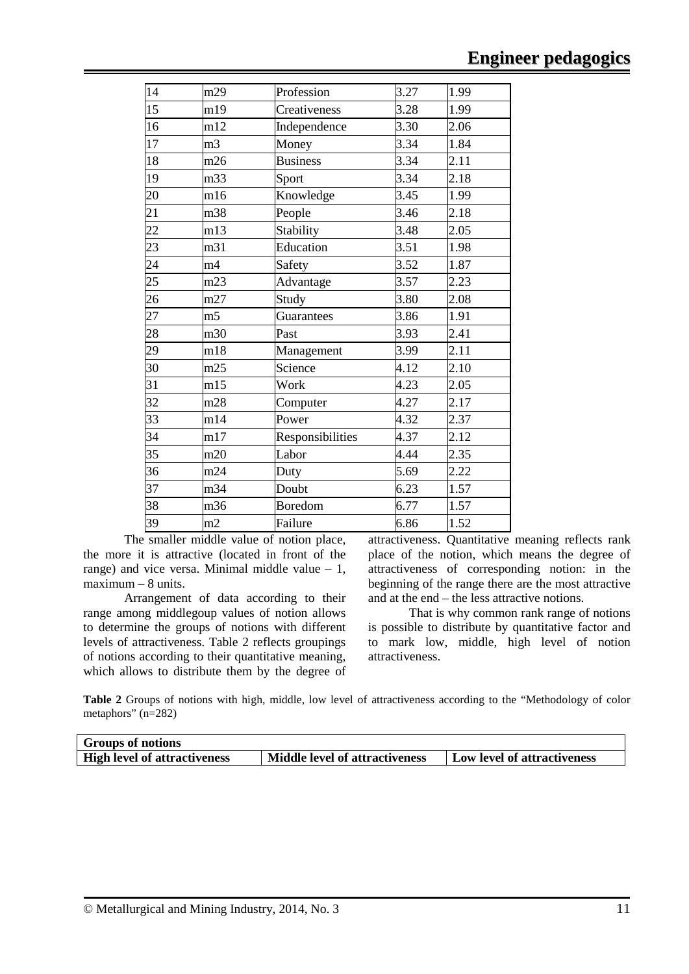| 14 | m29            | Profession       | 3.27<br>1.99 |      |
|----|----------------|------------------|--------------|------|
| 15 | m19            | Creativeness     | 3.28         | 1.99 |
| 16 | m12            | Independence     | 3.30         | 2.06 |
| 17 | m <sub>3</sub> | Money            | 3.34         |      |
| 18 | m26            | <b>Business</b>  | 3.34<br>2.11 |      |
| 19 | m33            | Sport            | 3.34<br>2.18 |      |
| 20 | m16            | Knowledge        | 3.45         | 1.99 |
| 21 | m38            | People           | 3.46         | 2.18 |
| 22 | m13            | Stability        | 3.48         | 2.05 |
| 23 | m31            | Education        | 3.51         | 1.98 |
| 24 | m4             | Safety           | 3.52         |      |
| 25 | m23            | Advantage        | 3.57         |      |
| 26 | m27            | Study            | 3.80         |      |
| 27 | m <sub>5</sub> | Guarantees       | 3.86         |      |
| 28 | m30            | Past             | 3.93         |      |
| 29 | m18            | Management       | 3.99         |      |
| 30 | m25            | Science          | 4.12         | 2.10 |
| 31 | m15            | Work             | 4.23         | 2.05 |
| 32 | m28            | Computer         | 4.27         | 2.17 |
| 33 | m14            | Power            | 2.37<br>4.32 |      |
| 34 | m17            | Responsibilities | 4.37<br>2.12 |      |
| 35 | m20            | Labor            | 4.44<br>2.35 |      |
| 36 | m24            | Duty             | 5.69         | 2.22 |
| 37 | m34            | Doubt            | 6.23         | 1.57 |
| 38 | m36            | <b>Boredom</b>   | 6.77         | 1.57 |
| 39 | m2             | Failure          | 6.86         | 1.52 |

The smaller middle value of notion place, the more it is attractive (located in front of the range) and vice versa. Minimal middle value  $-1$ ,  $maximum - 8 units.$ 

Arrangement of data according to their range among middlegoup values of notion allows to determine the groups of notions with different levels of attractiveness. Table 2 reflects groupings of notions according to their quantitative meaning, which allows to distribute them by the degree of attractiveness. Quantitative meaning reflects rank place of the notion, which means the degree of attractiveness of corresponding notion: in the beginning of the range there are the most attractive and at the end – the less attractive notions.

That is why common rank range of notions is possible to distribute by quantitative factor and to mark low, middle, high level of notion attractiveness.

**Table 2** Groups of notions with high, middle, low level of attractiveness according to the "Methodology of color metaphors" (n=282)

| <b>Groups of notions</b>            |                                |                                    |
|-------------------------------------|--------------------------------|------------------------------------|
| <b>High level of attractiveness</b> | Middle level of attractiveness | <b>Low level of attractiveness</b> |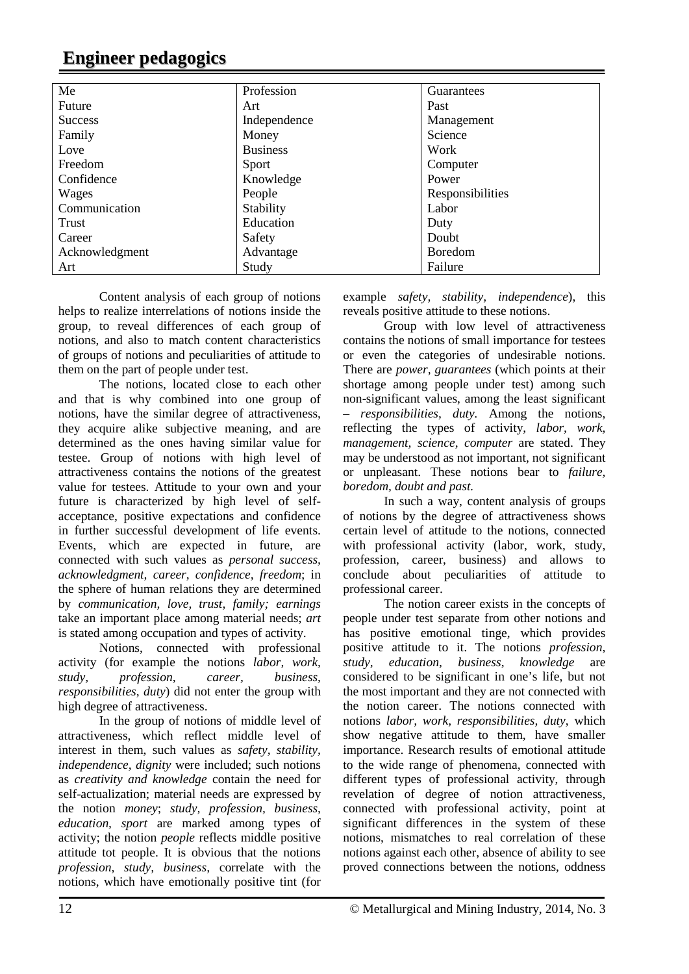# **Engineer pedagogics**

| Me             | Profession      | Guarantees       |
|----------------|-----------------|------------------|
| Future         | Art             | Past             |
| <b>Success</b> | Independence    | Management       |
| Family         | Money           | Science          |
| Love           | <b>Business</b> | Work             |
| Freedom        | Sport           | Computer         |
| Confidence     | Knowledge       | Power            |
| Wages          | People          | Responsibilities |
| Communication  | Stability       | Labor            |
| Trust          | Education       | Duty             |
| Career         | Safety          | Doubt            |
| Acknowledgment | Advantage       | <b>Boredom</b>   |
| Art            | Study           | Failure          |

Content analysis of each group of notions helps to realize interrelations of notions inside the group, to reveal differences of each group of notions, and also to match content characteristics of groups of notions and peculiarities of attitude to them on the part of people under test.

The notions, located close to each other and that is why combined into one group of notions, have the similar degree of attractiveness, they acquire alike subjective meaning, and are determined as the ones having similar value for testee. Group of notions with high level of attractiveness contains the notions of the greatest value for testees. Attitude to your own and your future is characterized by high level of selfacceptance, positive expectations and confidence in further successful development of life events. Events, which are expected in future, are connected with such values as *personal success, acknowledgment, career, confidence, freedom*; in the sphere of human relations they are determined by *communication, love, trust, family; earnings* take an important place among material needs; *art*  is stated among occupation and types of activity.

Notions, connected with professional activity (for example the notions *labor, work, study, profession, career, business, responsibilities, duty*) did not enter the group with high degree of attractiveness.

In the group of notions of middle level of attractiveness, which reflect middle level of interest in them, such values as *safety, stability, independence, dignity* were included; such notions as *creativity and knowledge* contain the need for self-actualization; material needs are expressed by the notion *money*; *study, profession, business, education, sport* are marked among types of activity; the notion *people* reflects middle positive attitude tot people. It is obvious that the notions *profession, study, business,* correlate with the notions, which have emotionally positive tint (for

example *safety, stability, independence*), this reveals positive attitude to these notions.

Group with low level of attractiveness contains the notions of small importance for testees or even the categories of undesirable notions. There are *power, guarantees* (which points at their shortage among people under test) among such non-significant values, among the least significant – *responsibilities, duty.* Among the notions, reflecting the types of activity, *labor, work, management, science, computer* are stated. They may be understood as not important, not significant or unpleasant. These notions bear to *failure, boredom, doubt and past.* 

In such a way, content analysis of groups of notions by the degree of attractiveness shows certain level of attitude to the notions, connected with professional activity (labor, work, study, profession, career, business) and allows to conclude about peculiarities of attitude to professional career.

The notion career exists in the concepts of people under test separate from other notions and has positive emotional tinge, which provides positive attitude to it. The notions *profession, study, education, business, knowledge* are considered to be significant in one's life, but not the most important and they are not connected with the notion career. The notions connected with notions *labor, work, responsibilities, duty*, which show negative attitude to them, have smaller importance. Research results of emotional attitude to the wide range of phenomena, connected with different types of professional activity, through revelation of degree of notion attractiveness, connected with professional activity, point at significant differences in the system of these notions, mismatches to real correlation of these notions against each other, absence of ability to see proved connections between the notions, oddness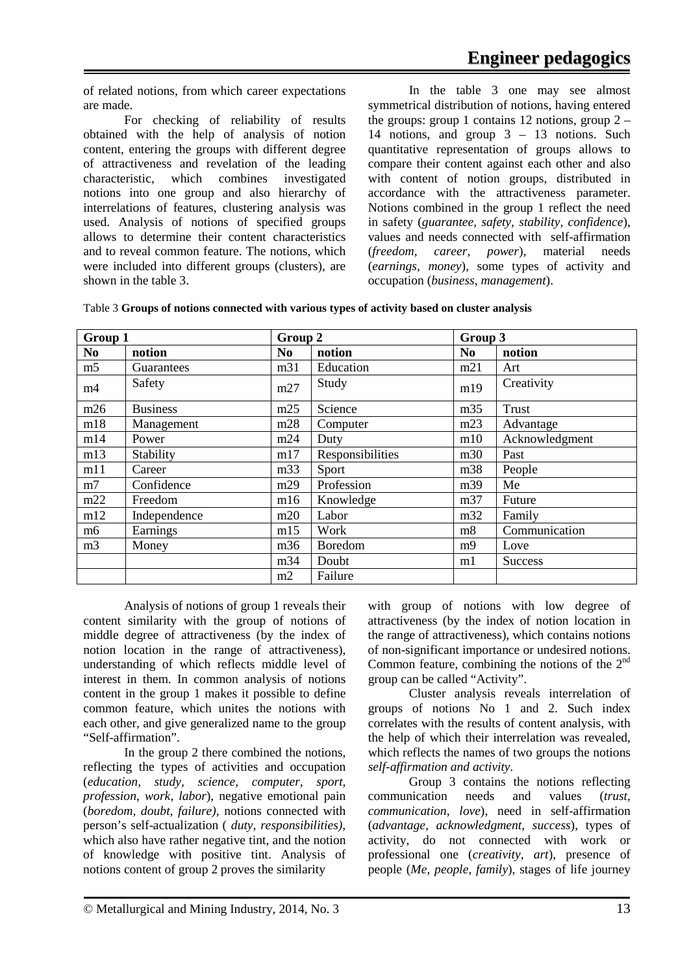of related notions, from which career expectations are made.

For checking of reliability of results obtained with the help of analysis of notion content, entering the groups with different degree of attractiveness and revelation of the leading characteristic, which combines investigated notions into one group and also hierarchy of interrelations of features, clustering analysis was used. Analysis of notions of specified groups allows to determine their content characteristics and to reveal common feature. The notions, which were included into different groups (clusters), are shown in the table 3.

In the table 3 one may see almost symmetrical distribution of notions, having entered the groups: group 1 contains 12 notions, group  $2 -$ 14 notions, and group 3 – 13 notions. Such quantitative representation of groups allows to compare their content against each other and also with content of notion groups, distributed in accordance with the attractiveness parameter. Notions combined in the group 1 reflect the need in safety (*guarantee, safety, stability, confidence*), values and needs connected with self-affirmation (*freedom, career, power*), material needs (*earnings, money*), some types of activity and occupation (*business, management*).

| Table 3 Groups of notions connected with various types of activity based on cluster analysis |  |  |  |
|----------------------------------------------------------------------------------------------|--|--|--|
|----------------------------------------------------------------------------------------------|--|--|--|

| Group 1        |                 | Group 2        |                  | Group 3        |                |
|----------------|-----------------|----------------|------------------|----------------|----------------|
| N <sub>0</sub> | notion          | N <sub>0</sub> | notion           | N <sub>0</sub> | notion         |
| m <sub>5</sub> | Guarantees      | m31            | Education        | m21            | Art            |
| m4             | Safety          | m27            | Study            | m19            | Creativity     |
| m26            | <b>Business</b> | m25            | Science          | m35            | <b>Trust</b>   |
| m18            | Management      | m28            | Computer         | m23            | Advantage      |
| m14            | Power           | m24            | Duty             | m10            | Acknowledgment |
| m13            | Stability       | m17            | Responsibilities | m30            | Past           |
| m11            | Career          | m33            | Sport            | m38            | People         |
| m <sub>7</sub> | Confidence      | m29            | Profession       | m39            | Me             |
| m22            | Freedom         | m16            | Knowledge        | m37            | Future         |
| m12            | Independence    | m20            | Labor            | m32            | Family         |
| m <sub>6</sub> | Earnings        | m15            | Work             | m8             | Communication  |
| m <sub>3</sub> | Money           | m36            | Boredom          | m <sub>9</sub> | Love           |
|                |                 | m34            | Doubt            | ml             | <b>Success</b> |
|                |                 | m2             | Failure          |                |                |

Analysis of notions of group 1 reveals their content similarity with the group of notions of middle degree of attractiveness (by the index of notion location in the range of attractiveness), understanding of which reflects middle level of interest in them. In common analysis of notions content in the group 1 makes it possible to define common feature, which unites the notions with each other, and give generalized name to the group "Self-affirmation".

In the group 2 there combined the notions, reflecting the types of activities and occupation (*education, study, science, computer, sport, profession, work, labor*), negative emotional pain (*boredom, doubt, failure),* notions connected with person's self-actualization ( *duty, responsibilities),* which also have rather negative tint, and the notion of knowledge with positive tint. Analysis of notions content of group 2 proves the similarity

with group of notions with low degree of attractiveness (by the index of notion location in the range of attractiveness), which contains notions of non-significant importance or undesired notions. Common feature, combining the notions of the  $2<sup>nd</sup>$ group can be called "Activity".

Cluster analysis reveals interrelation of groups of notions No 1 and 2. Such index correlates with the results of content analysis, with the help of which their interrelation was revealed, which reflects the names of two groups the notions *self-affirmation and activity.*

Group 3 contains the notions reflecting communication needs and values (*trust, communication, love*), need in self-affirmation (*advantage, acknowledgment, success*), types of activity, do not connected with work or professional one (*creativity, art*), presence of people (*Me, people, family*), stages of life journey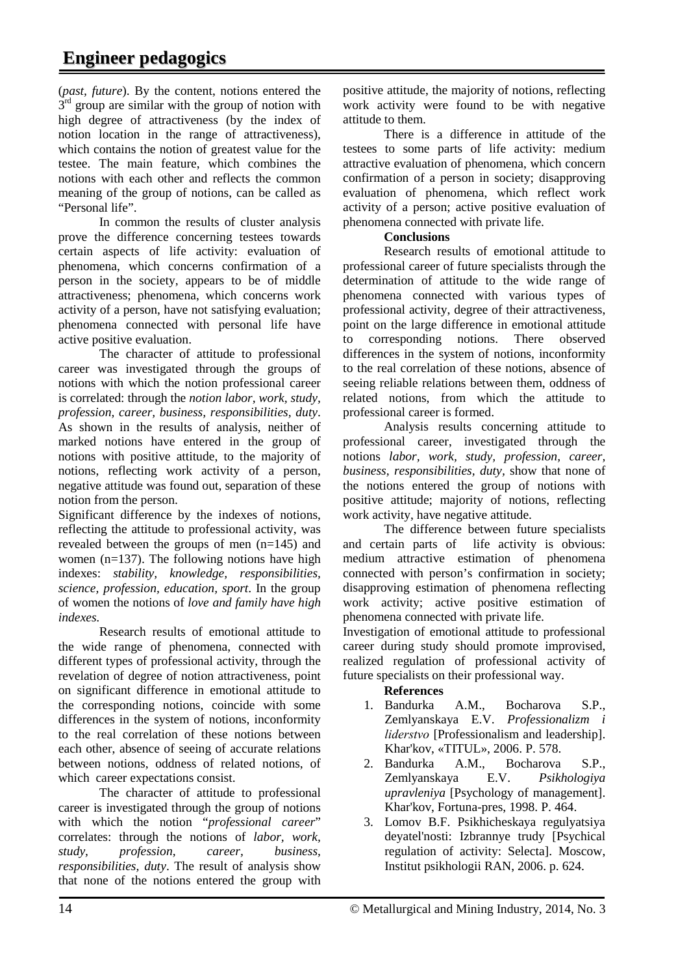(*past, future*). By the content, notions entered the  $3<sup>rd</sup>$  group are similar with the group of notion with high degree of attractiveness (by the index of notion location in the range of attractiveness), which contains the notion of greatest value for the testee. The main feature, which combines the notions with each other and reflects the common meaning of the group of notions, can be called as "Personal life".

In common the results of cluster analysis prove the difference concerning testees towards certain aspects of life activity: evaluation of phenomena, which concerns confirmation of a person in the society, appears to be of middle attractiveness; phenomena, which concerns work activity of a person, have not satisfying evaluation; phenomena connected with personal life have active positive evaluation.

The character of attitude to professional career was investigated through the groups of notions with which the notion professional career is correlated: through the *notion labor, work, study, profession, career, business, responsibilities, duty*. As shown in the results of analysis, neither of marked notions have entered in the group of notions with positive attitude, to the majority of notions, reflecting work activity of a person, negative attitude was found out, separation of these notion from the person.

Significant difference by the indexes of notions, reflecting the attitude to professional activity, was revealed between the groups of men (n=145) and women  $(n=137)$ . The following notions have high indexes: *stability, knowledge, responsibilities, science, profession, education, sport*. In the group of women the notions of *love and family have high indexes.*

Research results of emotional attitude to the wide range of phenomena, connected with different types of professional activity, through the revelation of degree of notion attractiveness, point on significant difference in emotional attitude to the corresponding notions, coincide with some differences in the system of notions, inconformity to the real correlation of these notions between each other, absence of seeing of accurate relations between notions, oddness of related notions, of which career expectations consist.

The character of attitude to professional career is investigated through the group of notions with which the notion "*professional career*" correlates: through the notions of *labor, work, study, profession, career, business, responsibilities, duty*. The result of analysis show that none of the notions entered the group with

positive attitude, the majority of notions, reflecting work activity were found to be with negative attitude to them.

There is a difference in attitude of the testees to some parts of life activity: medium attractive evaluation of phenomena, which concern confirmation of a person in society; disapproving evaluation of phenomena, which reflect work activity of a person; active positive evaluation of phenomena connected with private life.

### **Conclusions**

Research results of emotional attitude to professional career of future specialists through the determination of attitude to the wide range of phenomena connected with various types of professional activity, degree of their attractiveness, point on the large difference in emotional attitude to corresponding notions. There observed differences in the system of notions, inconformity to the real correlation of these notions, absence of seeing reliable relations between them, oddness of related notions, from which the attitude to professional career is formed.

Analysis results concerning attitude to professional career, investigated through the notions *labor, work, study, profession, career, business, responsibilities, duty,* show that none of the notions entered the group of notions with positive attitude; majority of notions, reflecting work activity, have negative attitude.

The difference between future specialists and certain parts of life activity is obvious: medium attractive estimation of phenomena connected with person's confirmation in society; disapproving estimation of phenomena reflecting work activity; active positive estimation of phenomena connected with private life.

Investigation of emotional attitude to professional career during study should promote improvised, realized regulation of professional activity of future specialists on their professional way.

### **References**

- 1. Bandurka A.M., Bocharova S.P., Zemlyanskaya E.V. *Professionalizm i lіderstvo* [Professionalism and leadership]. Khar'kov, «TITUL», 2006. P. 578.
- 2. Bandurka A.M., Bocharova S.P., Zemlyanskaya E.V. *Psikhologiya upravleniya* [Psychology of management]. Khar'kov, Fortuna-pres, 1998. P. 464.
- 3. Lomov B.F. Psikhicheskaya regulyatsiya deyatel'nosti: Izbrannye trudy [Psychical regulation of activity: Selecta]. Moscow, Institut psikhologii RAN, 2006. p. 624.